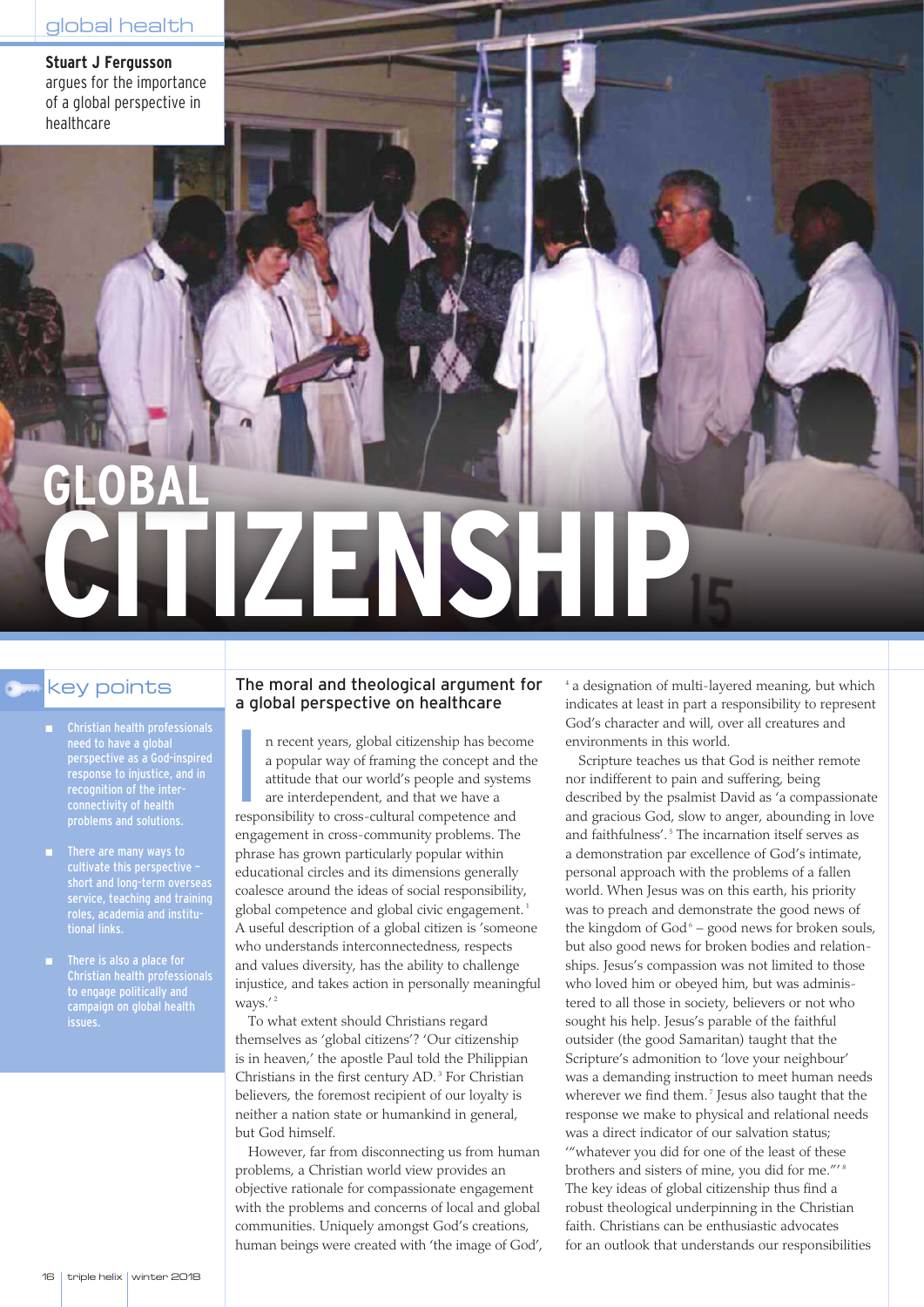**Stuart J Fergusson** argues for the importance of a global perspective in healthcare

# **CITIZENSHIP OBA**

- Christian health professionals need to have a global perspective as a God-inspired response to injustice, and in recognition of the inter-
- **There are many ways to** cultivate this perspective – short and long-term overseas service, teaching and training roles, academia and institutional links.
- **There is also a place for** Christian health professionals to engage politically and campaign on global health

# $\rm{key}$  points  $\qquad$  The moral and theological argument for a global perspective on healthcare

I n recent years, global citizenship has become a popular way of framing the concept and the attitude that our world's people and systems are interdependent, and that we have a responsibility to cross-cultural competence and engagement in cross-community problems. The phrase has grown particularly popular within educational circles and its dimensions generally coalesce around the ideas of social responsibility, global competence and global civic engagement. 1 A useful description of a global citizen is 'someone who understands interconnectedness, respects and values diversity, has the ability to challenge injustice, and takes action in personally meaningful ways.' 2

To what extent should Christians regard themselves as 'global citizens'? 'Our citizenship is in heaven,' the apostle Paul told the Philippian Christians in the first century AD. <sup>3</sup> For Christian believers, the foremost recipient of our loyalty is neither a nation state or humankind in general, but God himself.

However, far from disconnecting us from human problems, a Christian world view provides an objective rationale for compassionate engagement with the problems and concerns of local and global communities. Uniquely amongst God's creations, human beings were created with 'the image of God',

<sup>4</sup> a designation of multi-layered meaning, but which indicates at least in part a responsibility to represent God's character and will, over all creatures and environments in this world.

Scripture teaches us that God is neither remote nor indifferent to pain and suffering, being described by the psalmist David as 'a compassionate and gracious God, slow to anger, abounding in love and faithfulness'. <sup>5</sup> The incarnation itself serves as a demonstration par excellence of God's intimate, personal approach with the problems of a fallen world. When Jesus was on this earth, his priority was to preach and demonstrate the good news of the kingdom of  $God<sup>6</sup> – good news for broken sous,$ but also good news for broken bodies and relationships. Jesus's compassion was not limited to those who loved him or obeyed him, but was administered to all those in society, believers or not who sought his help. Jesus's parable of the faithful outsider (the good Samaritan) taught that the Scripture's admonition to 'love your neighbour' was a demanding instruction to meet human needs wherever we find them.<sup>7</sup> Jesus also taught that the response we make to physical and relational needs was a direct indicator of our salvation status; '"whatever you did for one of the least of these brothers and sisters of mine, you did for me."<sup>18</sup> The key ideas of global citizenship thus find a robust theological underpinning in the Christian faith. Christians can be enthusiastic advocates for an outlook that understands our responsibilities